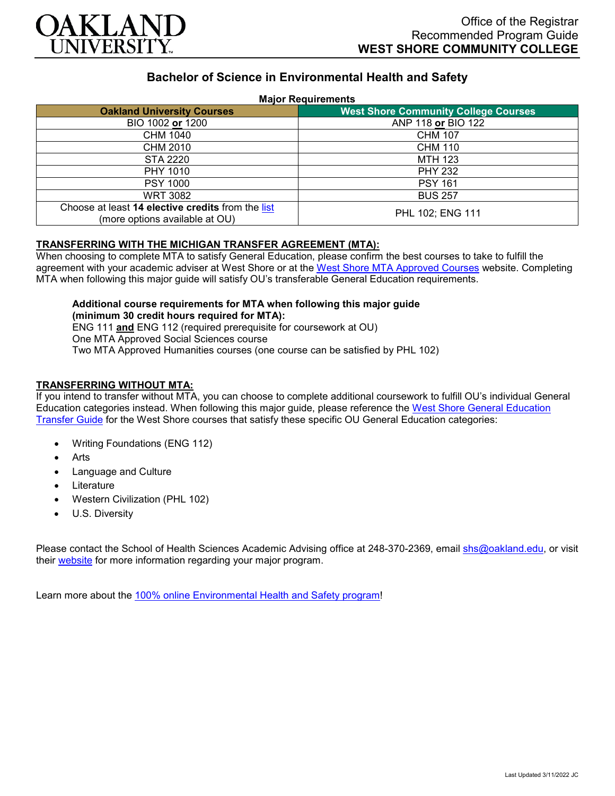

# **Bachelor of Science in Environmental Health and Safety**

### **Major Requirements**

| <b>Oakland University Courses</b>                                                   | <b>West Shore Community College Courses</b> |
|-------------------------------------------------------------------------------------|---------------------------------------------|
| BIO 1002 or 1200                                                                    | ANP 118 or BIO 122                          |
| CHM 1040                                                                            | <b>CHM 107</b>                              |
| CHM 2010                                                                            | <b>CHM 110</b>                              |
| STA 2220                                                                            | <b>MTH 123</b>                              |
| PHY 1010                                                                            | <b>PHY 232</b>                              |
| <b>PSY 1000</b>                                                                     | <b>PSY 161</b>                              |
| <b>WRT 3082</b>                                                                     | <b>BUS 257</b>                              |
| Choose at least 14 elective credits from the list<br>(more options available at OU) | PHL 102; ENG 111                            |

## **TRANSFERRING WITH THE MICHIGAN TRANSFER AGREEMENT (MTA):**

When choosing to complete MTA to satisfy General Education, please confirm the best courses to take to fulfill the agreement with your academic adviser at West Shore or at the [West Shore MTA Approved Courses](https://www.westshore.edu/admissions/transfer-students/) website. Completing MTA when following this major guide will satisfy OU's transferable General Education requirements.

#### **Additional course requirements for MTA when following this major guide (minimum 30 credit hours required for MTA):** ENG 111 **and** ENG 112 (required prerequisite for coursework at OU)

One MTA Approved Social Sciences course Two MTA Approved Humanities courses (one course can be satisfied by PHL 102)

# **TRANSFERRING WITHOUT MTA:**

If you intend to transfer without MTA, you can choose to complete additional coursework to fulfill OU's individual General Education categories instead. When following this major guide, please reference the [West Shore General Education](https://www.oakland.edu/Assets/Oakland/program-guides/west-shore-community-college/university-general-education-requirements/West%20Shore%20Gen%20Ed.pdf)  [Transfer Guide](https://www.oakland.edu/Assets/Oakland/program-guides/west-shore-community-college/university-general-education-requirements/West%20Shore%20Gen%20Ed.pdf) for the West Shore courses that satisfy these specific OU General Education categories:

- Writing Foundations (ENG 112)
- **Arts**
- Language and Culture
- **Literature**
- Western Civilization (PHL 102)
- U.S. Diversity

Please contact the School of Health Sciences Academic Advising office at 248-370-2369, email [shs@oakland.edu,](mailto:shs@oakland.edu) or visit their [website](http://www.oakland.edu/shs/advising) for more information regarding your major program.

Learn more about the [100% online Environmental Health and Safety program!](https://www.oakland.edu/online/undergraduate-degree-programs/ehs/)